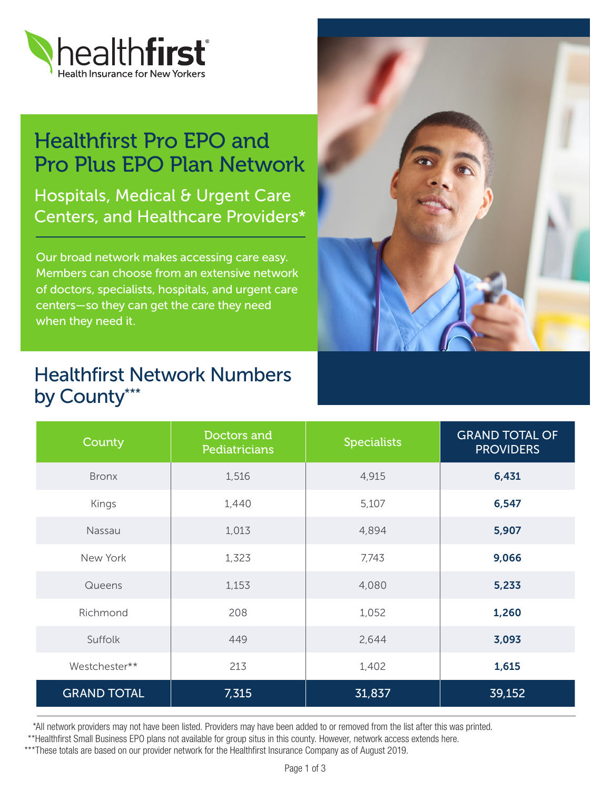

## Healthfirst Pro EPO and Pro Plus EPO Plan Network

Hospitals, Medical & Urgent Care Centers, and Healthcare Providers\*

Our broad network makes accessing care easy. Members can choose from an extensive network of doctors, specialists, hospitals, and urgent care centers—so they can get the care they need when they need it.



### Healthfirst Network Numbers by County\*\*\*

| County             | Doctors and<br>Pediatricians | <b>Specialists</b> | <b>GRAND TOTAL OF</b><br><b>PROVIDERS</b> |
|--------------------|------------------------------|--------------------|-------------------------------------------|
| <b>Bronx</b>       | 1,516                        | 4,915              | 6,431                                     |
| Kings              | 1,440                        | 5,107              | 6,547                                     |
| Nassau             | 1,013                        | 4,894              | 5,907                                     |
| New York           | 1,323                        | 7,743              | 9,066                                     |
| Queens             | 1,153                        | 4,080              | 5,233                                     |
| Richmond           | 208                          | 1,052              | 1,260                                     |
| Suffolk            | 449                          | 2,644              | 3,093                                     |
| Westchester**      | 213                          | 1,402              | 1,615                                     |
| <b>GRAND TOTAL</b> | 7,315                        | 31,837             | 39,152                                    |

\*All network providers may not have been listed. Providers may have been added to or removed from the list after this was printed.

\*\*Healthfirst Small Business EPO plans not available for group situs in this county. However, network access extends here.

\*\*\*These totals are based on our provider network for the Healthfirst Insurance Company as of August 2019.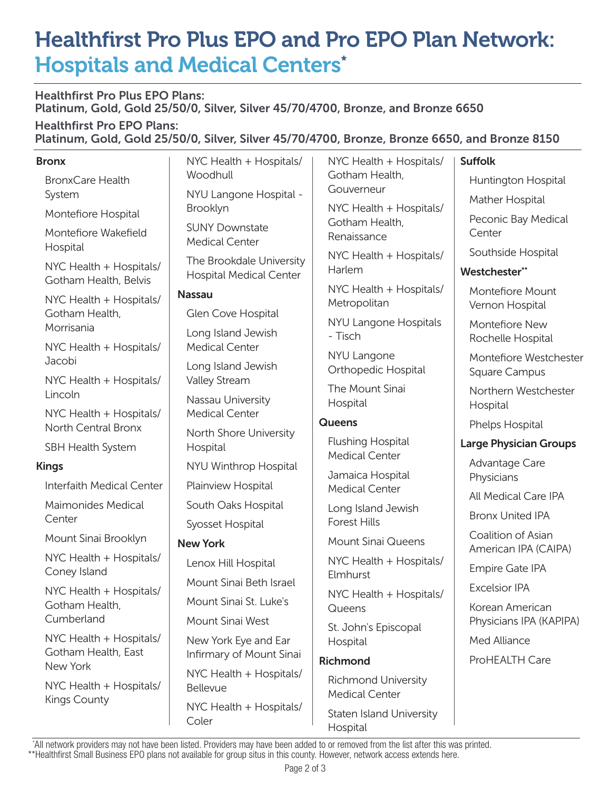# Healthfirst Pro Plus EPO and Pro EPO Plan Network: Hospitals and Medical Centers\*

Healthfirst Pro Plus EPO Plans: Platinum, Gold, Gold 25/50/0, Silver, Silver 45/70/4700, Bronze, and Bronze 6650

 $\mathbf{I}$ 

Healthfirst Pro EPO Plans: Platinum, Gold, Gold 25/50/0, Silver, Silver 45/70/4700, Bronze, Bronze 6650, and Bronze 8150

#### Bronx

| <b>Bronx</b>                                               | NYC Health + Hospitals/                                    | NYC Health + Hospitals/                                               | <b>Suffolk</b>                             |
|------------------------------------------------------------|------------------------------------------------------------|-----------------------------------------------------------------------|--------------------------------------------|
| <b>BronxCare Health</b>                                    | Woodhull                                                   | Gotham Health,<br>Gouverneur                                          | Huntington Hospital                        |
| System                                                     | NYU Langone Hospital -<br>Brooklyn                         | NYC Health + Hospitals/                                               | Mather Hospital                            |
| Montefiore Hospital                                        | <b>SUNY Downstate</b>                                      | Gotham Health,                                                        | Peconic Bay Medical                        |
| Montefiore Wakefield<br>Hospital                           | <b>Medical Center</b>                                      | Renaissance                                                           | Center                                     |
| NYC Health + Hospitals/<br>Gotham Health, Belvis           | The Brookdale University<br><b>Hospital Medical Center</b> | NYC Health + Hospitals/<br>Harlem                                     | Southside Hospital                         |
|                                                            |                                                            |                                                                       | Westchester**                              |
| NYC Health + Hospitals/<br>Gotham Health,                  | <b>Nassau</b>                                              | NYC Health + Hospitals/<br>Metropolitan                               | Montefiore Mount<br>Vernon Hospital        |
|                                                            | Glen Cove Hospital                                         | NYU Langone Hospitals                                                 |                                            |
| Morrisania                                                 | Long Island Jewish<br><b>Medical Center</b>                | - Tisch                                                               | Montefiore New<br>Rochelle Hospital        |
| NYC Health + Hospitals/<br>Jacobi                          |                                                            | NYU Langone                                                           | Montefiore Westchester                     |
| NYC Health + Hospitals/                                    | Long Island Jewish<br>Valley Stream                        | Orthopedic Hospital                                                   | Square Campus                              |
| Lincoln                                                    | Nassau University                                          | The Mount Sinai                                                       | Northern Westchester                       |
| NYC Health + Hospitals/                                    | <b>Medical Center</b>                                      | Hospital                                                              | Hospital                                   |
| North Central Bronx                                        | North Shore University                                     | <b>Queens</b>                                                         | Phelps Hospital                            |
| SBH Health System                                          | Hospital                                                   | <b>Flushing Hospital</b>                                              | <b>Large Physician Groups</b>              |
| <b>Kings</b>                                               | NYU Winthrop Hospital                                      | <b>Medical Center</b>                                                 | Advantage Care                             |
| Interfaith Medical Center                                  | Plainview Hospital                                         | Jamaica Hospital<br><b>Medical Center</b>                             | Physicians                                 |
| Maimonides Medical                                         | South Oaks Hospital                                        | Long Island Jewish                                                    | All Medical Care IPA                       |
| Center                                                     | Syosset Hospital                                           | <b>Forest Hills</b>                                                   | <b>Bronx United IPA</b>                    |
| Mount Sinai Brooklyn                                       | <b>New York</b>                                            | <b>Mount Sinai Queens</b>                                             | Coalition of Asian<br>American IPA (CAIPA) |
| NYC Health + Hospitals/<br>Coney Island                    | Lenox Hill Hospital                                        | NYC Health + Hospitals/                                               | Empire Gate IPA                            |
|                                                            | Mount Sinai Beth Israel                                    | Elmhurst                                                              | <b>Excelsior IPA</b>                       |
| NYC Health + Hospitals/<br>Gotham Health,<br>Cumberland    | Mount Sinai St. Luke's                                     | NYC Health + Hospitals/<br>Queens<br>St. John's Episcopal<br>Hospital | Korean American                            |
|                                                            | Mount Sinai West                                           |                                                                       | Physicians IPA (KAPIPA)                    |
| NYC Health + Hospitals/<br>Gotham Health, East<br>New York | New York Eye and Ear<br>Infirmary of Mount Sinai           |                                                                       | Med Alliance                               |
|                                                            |                                                            | <b>Richmond</b>                                                       | ProHEALTH Care                             |
| NYC Health + Hospitals/<br><b>Kings County</b>             | NYC Health + Hospitals/<br>Bellevue                        | <b>Richmond University</b><br><b>Medical Center</b>                   |                                            |
|                                                            | NYC Health + Hospitals/<br>Coler                           | Staten Island University                                              |                                            |

 \*All network providers may not have been listed. Providers may have been added to or removed from the list after this was printed. \*\*Healthfirst Small Business EPO plans not available for group situs in this county. However, network access extends here.

Hospital